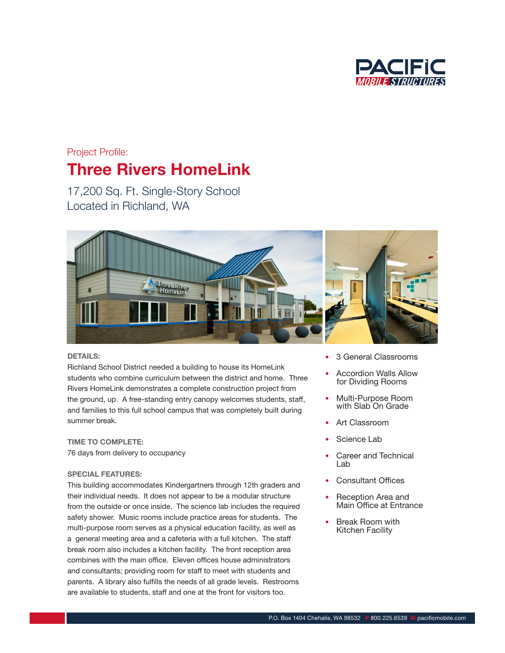

### Project Profile:

## Three Rivers HomeLink

17,200 Sq. Ft. Single-Story School Located in Richland, WA



#### DETAILS:

Richland School District needed a building to house its HomeLink students who combine curriculum between the district and home. Three Rivers HomeLink demonstrates a complete construction project from the ground, up. A free-standing entry canopy welcomes students, staff, and families to this full school campus that was completely built during summer break.

## TIME TO COMPLETE:

76 days from delivery to occupancy

### SPECIAL FEATURES:

This building accommodates Kindergartners through 12th graders and their individual needs. It does not appear to be a modular structure from the outside or once inside. The science lab includes the required safety shower. Music rooms include practice areas for students. The multi-purpose room serves as a physical education facility, as well as a general meeting area and a cafeteria with a full kitchen. The staff break room also includes a kitchen facility. The front reception area combines with the main office. Eleven offices house administrators and consultants; providing room for staff to meet with students and parents. A library also fulfills the needs of all grade levels. Restrooms are available to students, staff and one at the front for visitors too.

- 3 General Classrooms
- Accordion Walls Allow for Dividing Rooms
- Multi-Purpose Room with Slab<sup>'</sup>On Grade
- Art Classroom
- Science Lab
- Career and Technical Lab
- **Consultant Offices**
- Reception Area and Main Office at Entrance
- Break Room with Kitchen Facility